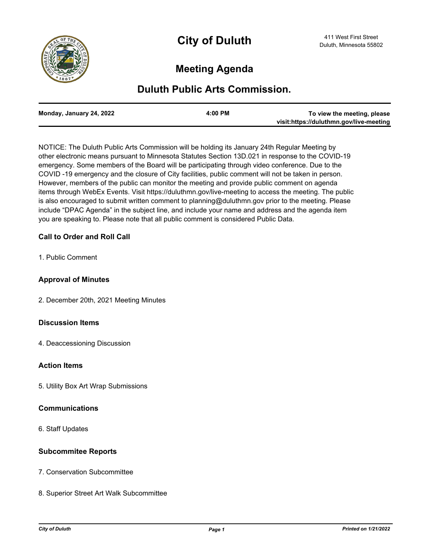

# **Meeting Agenda**

## **Duluth Public Arts Commission.**

| To view the meeting, please             | $4:00$ PM | Monday, January 24, 2022 |
|-----------------------------------------|-----------|--------------------------|
| visit:https://duluthmn.gov/live-meeting |           |                          |

NOTICE: The Duluth Public Arts Commission will be holding its January 24th Regular Meeting by other electronic means pursuant to Minnesota Statutes Section 13D.021 in response to the COVID-19 emergency. Some members of the Board will be participating through video conference. Due to the COVID -19 emergency and the closure of City facilities, public comment will not be taken in person. However, members of the public can monitor the meeting and provide public comment on agenda items through WebEx Events. Visit https://duluthmn.gov/live-meeting to access the meeting. The public is also encouraged to submit written comment to planning@duluthmn.gov prior to the meeting. Please include "DPAC Agenda" in the subject line, and include your name and address and the agenda item you are speaking to. Please note that all public comment is considered Public Data.

### **Call to Order and Roll Call**

1. Public Comment

#### **Approval of Minutes**

2. December 20th, 2021 Meeting Minutes

#### **Discussion Items**

4. Deaccessioning Discussion

#### **Action Items**

5. Utility Box Art Wrap Submissions

#### **Communications**

6. Staff Updates

#### **Subcommitee Reports**

- 7. Conservation Subcommittee
- 8. Superior Street Art Walk Subcommittee